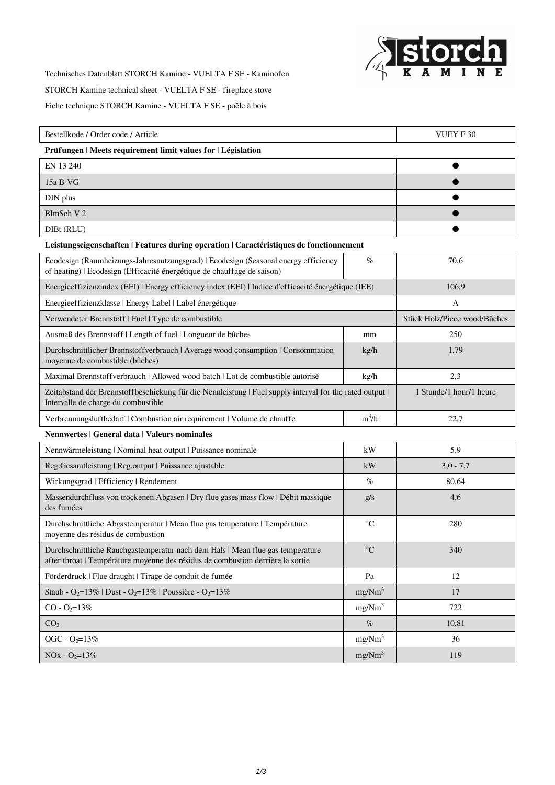

Technisches Datenblatt STORCH Kamine - VUELTA F SE - Kaminofen

STORCH Kamine technical sheet - VUELTA F SE - fireplace stove

Fiche technique STORCH Kamine - VUELTA F SE - poêle à bois

| Bestellkode / Order code / Article                                                                                                                                |                    | <b>VUEY F30</b>              |  |
|-------------------------------------------------------------------------------------------------------------------------------------------------------------------|--------------------|------------------------------|--|
| Prüfungen   Meets requirement limit values for   Législation                                                                                                      |                    |                              |  |
| EN 13 240                                                                                                                                                         |                    |                              |  |
| 15a B-VG                                                                                                                                                          |                    |                              |  |
| DIN plus                                                                                                                                                          |                    |                              |  |
| BImSch V 2                                                                                                                                                        |                    |                              |  |
| DIBt (RLU)                                                                                                                                                        |                    |                              |  |
| Leistungseigenschaften   Features during operation   Caractéristiques de fonctionnement                                                                           |                    |                              |  |
| Ecodesign (Raumheizungs-Jahresnutzungsgrad)   Ecodesign (Seasonal energy efficiency<br>of heating)   Ecodesign (Efficacité énergétique de chauffage de saison)    | $\%$               | 70,6                         |  |
| Energieeffizienzindex (EEI)   Energy efficiency index (EEI)   Indice d'efficacité énergétique (IEE)                                                               |                    | 106,9                        |  |
| Energieeffizienzklasse   Energy Label   Label énergétique                                                                                                         |                    | A                            |  |
| Verwendeter Brennstoff   Fuel   Type de combustible                                                                                                               |                    | Stück Holz/Piece wood/Bûches |  |
| Ausmaß des Brennstoff   Length of fuel   Longueur de bûches                                                                                                       | mm                 | 250                          |  |
| Durchschnittlicher Brennstoffverbrauch   Average wood consumption   Consommation<br>moyenne de combustible (bûches)                                               | kg/h               | 1,79                         |  |
| Maximal Brennstoff verbrauch   Allowed wood batch   Lot de combustible autorisé                                                                                   | kg/h               | 2,3                          |  |
| Zeitabstand der Brennstoffbeschickung für die Nennleistung   Fuel supply interval for the rated output  <br>Intervalle de charge du combustible                   |                    | 1 Stunde/1 hour/1 heure      |  |
| Verbrennungsluftbedarf   Combustion air requirement   Volume de chauffe                                                                                           | $m^3/h$            | 22,7                         |  |
| Nennwertes   General data   Valeurs nominales                                                                                                                     |                    |                              |  |
| Nennwärmeleistung   Nominal heat output   Puissance nominale                                                                                                      | kW                 | 5,9                          |  |
| Reg.Gesamtleistung   Reg.output   Puissance ajustable                                                                                                             | kW                 | $3,0 - 7,7$                  |  |
| Wirkungsgrad   Efficiency   Rendement                                                                                                                             | $\%$               | 80,64                        |  |
| Massendurchfluss von trockenen Abgasen   Dry flue gases mass flow   Débit massique<br>des fumées                                                                  | g/s                | 4,6                          |  |
| Durchschnittliche Abgastemperatur   Mean flue gas temperature   Température<br>moyenne des résidus de combustion                                                  | $\rm ^{\circ}C$    | 280                          |  |
| Durchschnittliche Rauchgastemperatur nach dem Hals   Mean flue gas temperature<br>after throat   Température moyenne des résidus de combustion derrière la sortie | $\rm ^{\circ}C$    | 340                          |  |
| Förderdruck   Flue draught   Tirage de conduit de fumée                                                                                                           | Pa                 | 12                           |  |
| Staub - O <sub>2</sub> =13%   Dust - O <sub>2</sub> =13%   Poussière - O <sub>2</sub> =13%                                                                        | mg/Nm <sup>3</sup> | 17                           |  |
| $CO - O_2 = 13%$                                                                                                                                                  | mg/Nm <sup>3</sup> | 722                          |  |
| CO <sub>2</sub>                                                                                                                                                   | $\%$               | 10,81                        |  |
| OGC - $O_2 = 13\%$                                                                                                                                                | mg/Nm <sup>3</sup> | 36                           |  |
| $NOx - O2=13%$                                                                                                                                                    | mg/Nm <sup>3</sup> | 119                          |  |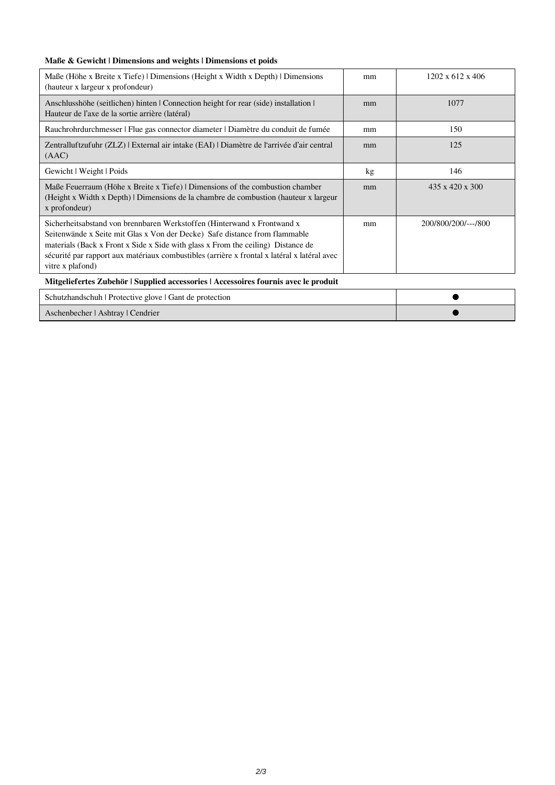## **Maße & Gewicht | Dimensions and weights | Dimensions et poids**

| Maße (Höhe x Breite x Tiefe)   Dimensions (Height x Width x Depth)   Dimensions<br>(hauteur x largeur x profondeur)                                                                                                                                                                                                                                          | mm | $1202 \times 612 \times 406$ |  |
|--------------------------------------------------------------------------------------------------------------------------------------------------------------------------------------------------------------------------------------------------------------------------------------------------------------------------------------------------------------|----|------------------------------|--|
| Anschlusshöhe (seitlichen) hinten   Connection height for rear (side) installation  <br>Hauteur de l'axe de la sortie arrière (latéral)                                                                                                                                                                                                                      | mm | 1077                         |  |
| Rauchrohrdurchmesser   Flue gas connector diameter   Diamètre du conduit de fumée                                                                                                                                                                                                                                                                            | mm | 150                          |  |
| Zentralluftzufuhr (ZLZ) External air intake (EAI) Diamètre de l'arrivée d'air central<br>(AAC)                                                                                                                                                                                                                                                               | mm | 125                          |  |
| Gewicht   Weight   Poids                                                                                                                                                                                                                                                                                                                                     | kg | 146                          |  |
| Maße Feuerraum (Höhe x Breite x Tiefe) Dimensions of the combustion chamber<br>(Height x Width x Depth) Dimensions de la chambre de combustion (hauteur x largeur)<br>x profondeur)                                                                                                                                                                          | mm | $435 \times 420 \times 300$  |  |
| Sicherheitsabstand von brennbaren Werkstoffen (Hinterwand x Frontwand x<br>Seitenwände x Seite mit Glas x Von der Decke) Safe distance from flammable<br>materials (Back x Front x Side x Side with glass x From the ceiling) Distance de<br>sécurité par rapport aux matériaux combustibles (arrière x frontal x latéral x latéral avec<br>vitre x plafond) | mm | 200/800/200/---/800          |  |
| Mitgeliefertes Zubehör   Supplied accessories   Accessoires fournis avec le produit                                                                                                                                                                                                                                                                          |    |                              |  |
| Schutzhandschuh   Protective glove   Gant de protection                                                                                                                                                                                                                                                                                                      |    |                              |  |

Aschenbecher | Ashtray | Cendrier ●